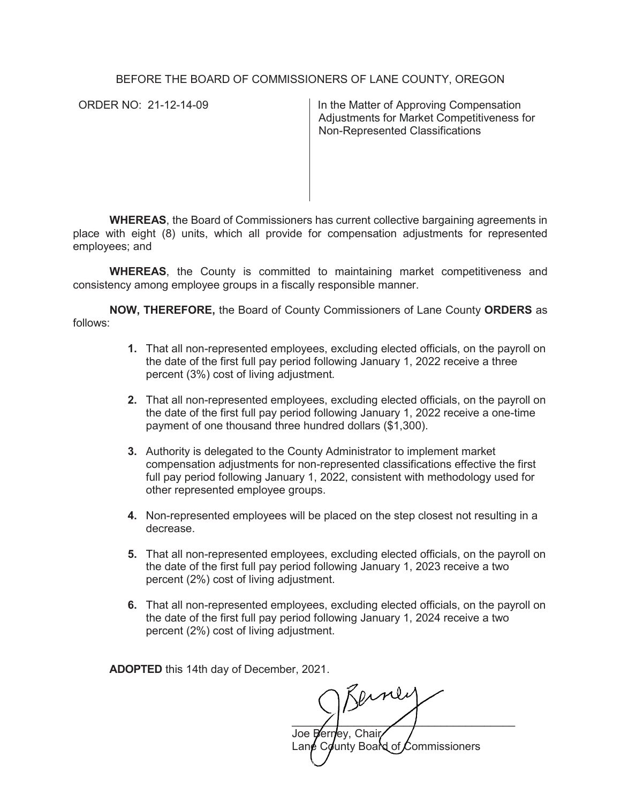#### BEFORE THE BOARD OF COMMISSIONERS OF LANE COUNTY, OREGON

ORDER NO: 21-12-14-09 In the Matter of Approving Compensation Adjustments for Market Competitiveness for Non-Represented Classifications

**WHEREAS**, the Board of Commissioners has current collective bargaining agreements in place with eight (8) units, which all provide for compensation adjustments for represented employees; and

**WHEREAS**, the County is committed to maintaining market competitiveness and consistency among employee groups in a fiscally responsible manner.

**NOW, THEREFORE,** the Board of County Commissioners of Lane County **ORDERS** as follows:

- **1.** That all non-represented employees, excluding elected officials, on the payroll on the date of the first full pay period following January 1, 2022 receive a three percent (3%) cost of living adjustment*.*
- **2.** That all non-represented employees, excluding elected officials, on the payroll on the date of the first full pay period following January 1, 2022 receive a one-time payment of one thousand three hundred dollars (\$1,300).
- **3.** Authority is delegated to the County Administrator to implement market compensation adjustments for non-represented classifications effective the first full pay period following January 1, 2022, consistent with methodology used for other represented employee groups.
- **4.** Non-represented employees will be placed on the step closest not resulting in a decrease.
- **5.** That all non-represented employees, excluding elected officials, on the payroll on the date of the first full pay period following January 1, 2023 receive a two percent (2%) cost of living adjustment.
- **6.** That all non-represented employees, excluding elected officials, on the payroll on the date of the first full pay period following January 1, 2024 receive a two percent (2%) cost of living adjustment.

**ADOPTED** this 14th day of December, 2021.

\_\_\_\_\_\_\_\_\_\_\_\_\_\_\_\_\_\_\_\_\_\_\_\_\_\_\_\_\_\_\_\_\_\_\_\_ Joe Berney, Chair

Lan $\epsilon$  County Board of Commissioners